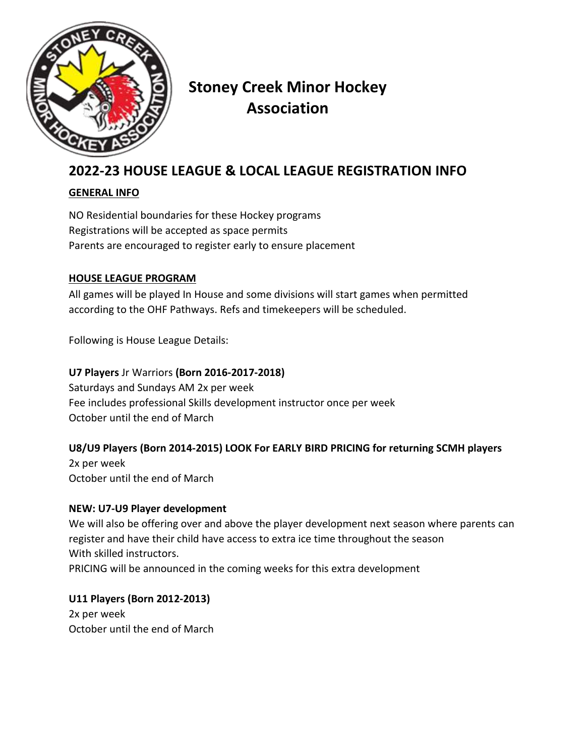

# **Stoney Creek Minor Hockey Association**

# **2022-23 HOUSE LEAGUE & LOCAL LEAGUE REGISTRATION INFO**

#### **GENERAL INFO**

NO Residential boundaries for these Hockey programs Registrations will be accepted as space permits Parents are encouraged to register early to ensure placement

#### **HOUSE LEAGUE PROGRAM**

All games will be played In House and some divisions will start games when permitted according to the OHF Pathways. Refs and timekeepers will be scheduled.

Following is House League Details:

**U7 Players** Jr Warriors **(Born 2016-2017-2018)** Saturdays and Sundays AM 2x per week Fee includes professional Skills development instructor once per week October until the end of March

# **U8/U9 Players (Born 2014-2015) LOOK For EARLY BIRD PRICING for returning SCMH players**

2x per week October until the end of March

#### **NEW: U7-U9 Player development**

We will also be offering over and above the player development next season where parents can register and have their child have access to extra ice time throughout the season With skilled instructors.

PRICING will be announced in the coming weeks for this extra development

# **U11 Players (Born 2012-2013)**

2x per week October until the end of March